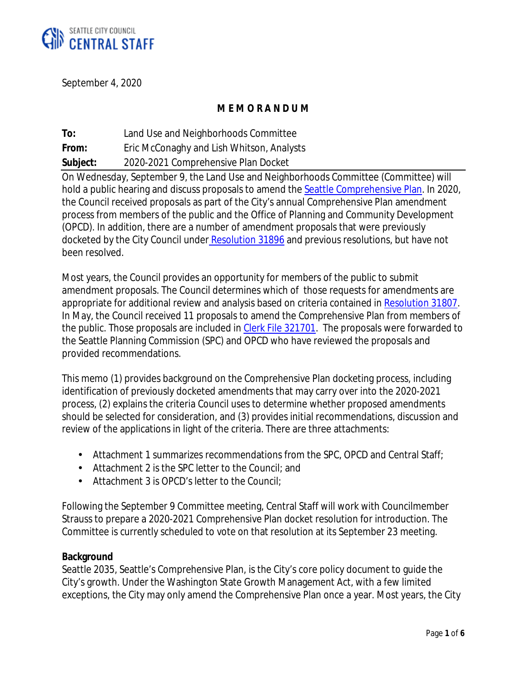

September 4, 2020

## **M E M O R A N D U M**

**To:** Land Use and Neighborhoods Committee **From:** Eric McConaghy and Lish Whitson, Analysts **Subject:** 2020-2021 Comprehensive Plan Docket

On Wednesday, September 9, the Land Use and Neighborhoods Committee (Committee) will hold a public hearing and discuss proposals to amend the Seattle Comprehensive Plan. In 2020, the Council received proposals as part of the City's annual Comprehensive Plan amendment process from members of the public and the Office of Planning and Community Development (OPCD). In addition, there are a number of amendment proposals that were previously docketed by the City Council under Resolution 31896 and previous resolutions, but have not been resolved.

Most years, the Council provides an opportunity for members of the public to submit amendment proposals. The Council determines which of those requests for amendments are appropriate for additional review and analysis based on criteria contained in Resolution 31807. In May, the Council received 11 proposals to amend the Comprehensive Plan from members of the public. Those proposals are included in Clerk File 321701. The proposals were forwarded to the Seattle Planning Commission (SPC) and OPCD who have reviewed the proposals and provided recommendations.

This memo (1) provides background on the Comprehensive Plan docketing process, including identification of previously docketed amendments that may carry over into the 2020-2021 process, (2) explains the criteria Council uses to determine whether proposed amendments should be selected for consideration, and (3) provides initial recommendations, discussion and review of the applications in light of the criteria. There are three attachments:

- Attachment 1 summarizes recommendations from the SPC, OPCD and Central Staff;
- Attachment 2 is the SPC letter to the Council; and  $\mathcal{L}^{\pm}$
- Attachment 3 is OPCD's letter to the Council;

Following the September 9 Committee meeting, Central Staff will work with Councilmember Strauss to prepare a 2020-2021 Comprehensive Plan docket resolution for introduction. The Committee is currently scheduled to vote on that resolution at its September 23 meeting.

#### **Background**

Seattle 2035, Seattle's Comprehensive Plan, is the City's core policy document to guide the City's growth. Under the Washington State Growth Management Act, with a few limited exceptions, the City may only amend the Comprehensive Plan once a year. Most years, the City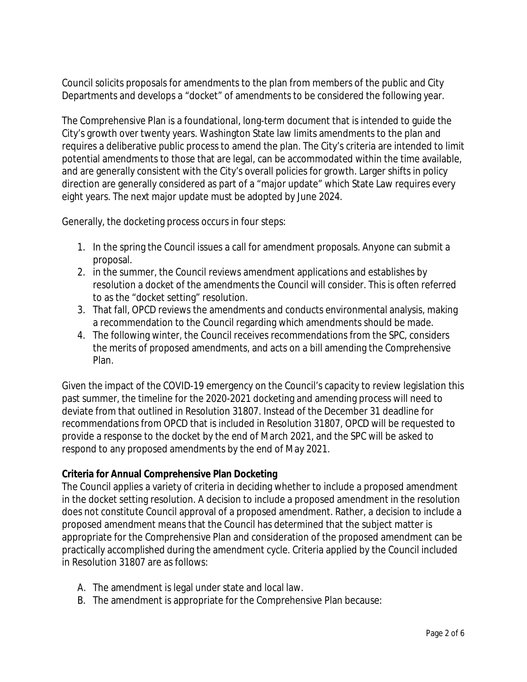Council solicits proposals for amendments to the plan from members of the public and City Departments and develops a "docket" of amendments to be considered the following year.

The Comprehensive Plan is a foundational, long-term document that is intended to guide the City's growth over twenty years. Washington State law limits amendments to the plan and requires a deliberative public process to amend the plan. The City's criteria are intended to limit potential amendments to those that are legal, can be accommodated within the time available, and are generally consistent with the City's overall policies for growth. Larger shifts in policy direction are generally considered as part of a "major update" which State Law requires every eight years. The next major update must be adopted by June 2024.

Generally, the docketing process occurs in four steps:

- 1. In the spring the Council issues a call for amendment proposals. Anyone can submit a proposal.
- 2. in the summer, the Council reviews amendment applications and establishes by resolution a docket of the amendments the Council will consider. This is often referred to as the "docket setting" resolution.
- 3. That fall, OPCD reviews the amendments and conducts environmental analysis, making a recommendation to the Council regarding which amendments should be made.
- 4. The following winter, the Council receives recommendations from the SPC, considers the merits of proposed amendments, and acts on a bill amending the Comprehensive Plan.

Given the impact of the COVID-19 emergency on the Council's capacity to review legislation this past summer, the timeline for the 2020-2021 docketing and amending process will need to deviate from that outlined in Resolution 31807. Instead of the December 31 deadline for recommendations from OPCD that is included in Resolution 31807, OPCD will be requested to provide a response to the docket by the end of March 2021, and the SPC will be asked to respond to any proposed amendments by the end of May 2021.

## **Criteria for Annual Comprehensive Plan Docketing**

The Council applies a variety of criteria in deciding whether to include a proposed amendment in the docket setting resolution. A decision to include a proposed amendment in the resolution does not constitute Council approval of a proposed amendment. Rather, a decision to include a proposed amendment means that the Council has determined that the subject matter is appropriate for the Comprehensive Plan and consideration of the proposed amendment can be practically accomplished during the amendment cycle. Criteria applied by the Council included in Resolution 31807 are as follows:

- A. The amendment is legal under state and local law.
- B. The amendment is appropriate for the Comprehensive Plan because: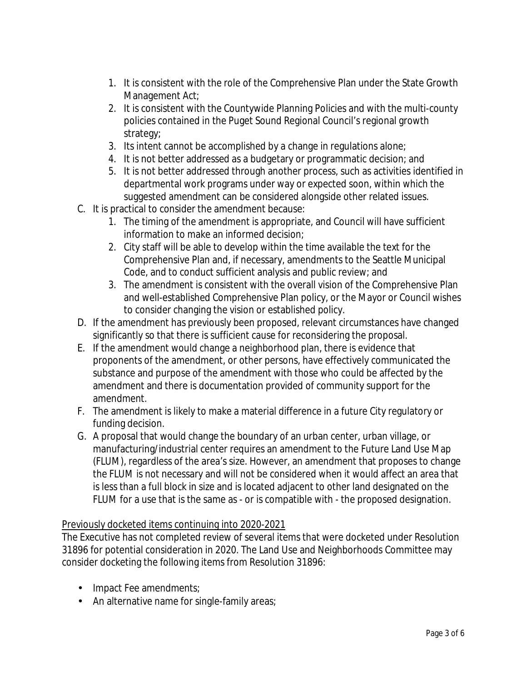- 1. It is consistent with the role of the Comprehensive Plan under the State Growth Management Act;
- 2. It is consistent with the Countywide Planning Policies and with the multi-county policies contained in the Puget Sound Regional Council's regional growth strategy;
- 3. Its intent cannot be accomplished by a change in regulations alone;
- 4. It is not better addressed as a budgetary or programmatic decision; and
- 5. It is not better addressed through another process, such as activities identified in departmental work programs under way or expected soon, within which the suggested amendment can be considered alongside other related issues.
- C. It is practical to consider the amendment because:
	- 1. The timing of the amendment is appropriate, and Council will have sufficient information to make an informed decision;
	- 2. City staff will be able to develop within the time available the text for the Comprehensive Plan and, if necessary, amendments to the Seattle Municipal Code, and to conduct sufficient analysis and public review; and
	- 3. The amendment is consistent with the overall vision of the Comprehensive Plan and well-established Comprehensive Plan policy, or the Mayor or Council wishes to consider changing the vision or established policy.
- D. If the amendment has previously been proposed, relevant circumstances have changed significantly so that there is sufficient cause for reconsidering the proposal.
- E. If the amendment would change a neighborhood plan, there is evidence that proponents of the amendment, or other persons, have effectively communicated the substance and purpose of the amendment with those who could be affected by the amendment and there is documentation provided of community support for the amendment.
- F. The amendment is likely to make a material difference in a future City regulatory or funding decision.
- G. A proposal that would change the boundary of an urban center, urban village, or manufacturing/industrial center requires an amendment to the Future Land Use Map (FLUM), regardless of the area's size. However, an amendment that proposes to change the FLUM is not necessary and will not be considered when it would affect an area that is less than a full block in size and is located adjacent to other land designated on the FLUM for a use that is the same as - or is compatible with - the proposed designation.

## Previously docketed items continuing into 2020-2021

The Executive has not completed review of several items that were docketed under Resolution 31896 for potential consideration in 2020. The Land Use and Neighborhoods Committee may consider docketing the following items from Resolution 31896:

- . Impact Fee amendments;
- An alternative name for single-family areas;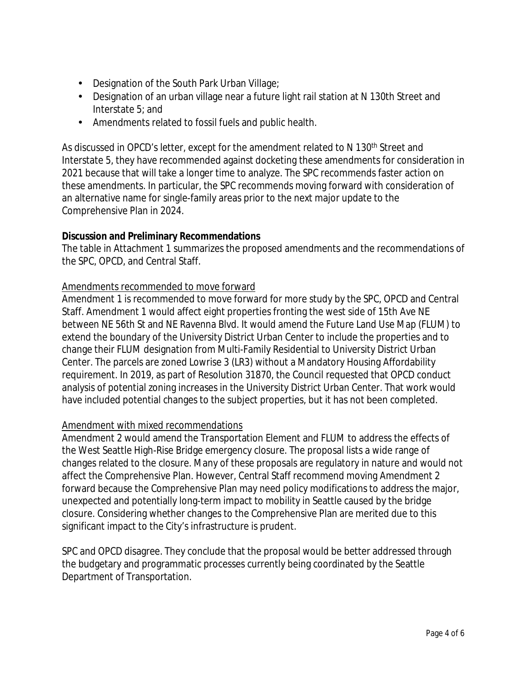- Designation of the South Park Urban Village;  $\mathbf{r}$
- Designation of an urban village near a future light rail station at N 130th Street and Interstate 5; and
- Amendments related to fossil fuels and public health.

As discussed in OPCD's letter, except for the amendment related to N 130<sup>th</sup> Street and Interstate 5, they have recommended against docketing these amendments for consideration in 2021 because that will take a longer time to analyze. The SPC recommends faster action on these amendments. In particular, the SPC recommends moving forward with consideration of an alternative name for single-family areas prior to the next major update to the Comprehensive Plan in 2024.

## **Discussion and Preliminary Recommendations**

The table in Attachment 1 summarizes the proposed amendments and the recommendations of the SPC, OPCD, and Central Staff.

## Amendments recommended to move forward

Amendment 1 is recommended to move forward for more study by the SPC, OPCD and Central Staff. Amendment 1 would affect eight properties fronting the west side of 15th Ave NE between NE 56th St and NE Ravenna Blvd. It would amend the Future Land Use Map (FLUM) to extend the boundary of the University District Urban Center to include the properties and to change their FLUM designation from Multi-Family Residential to University District Urban Center. The parcels are zoned Lowrise 3 (LR3) without a Mandatory Housing Affordability requirement. In 2019, as part of Resolution 31870, the Council requested that OPCD conduct analysis of potential zoning increases in the University District Urban Center. That work would have included potential changes to the subject properties, but it has not been completed.

## Amendment with mixed recommendations

Amendment 2 would amend the Transportation Element and FLUM to address the effects of the West Seattle High-Rise Bridge emergency closure. The proposal lists a wide range of changes related to the closure. Many of these proposals are regulatory in nature and would not affect the Comprehensive Plan. However, Central Staff recommend moving Amendment 2 forward because the Comprehensive Plan may need policy modifications to address the major, unexpected and potentially long-term impact to mobility in Seattle caused by the bridge closure. Considering whether changes to the Comprehensive Plan are merited due to this significant impact to the City's infrastructure is prudent.

SPC and OPCD disagree. They conclude that the proposal would be better addressed through the budgetary and programmatic processes currently being coordinated by the Seattle Department of Transportation.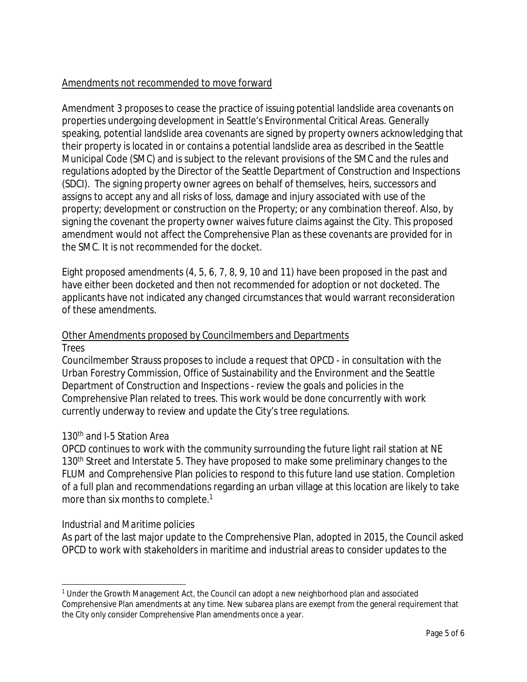## Amendments not recommended to move forward

Amendment 3 proposes to cease the practice of issuing potential landslide area covenants on properties undergoing development in Seattle's Environmental Critical Areas. Generally speaking, potential landslide area covenants are signed by property owners acknowledging that their property is located in or contains a potential landslide area as described in the Seattle Municipal Code (SMC) and is subject to the relevant provisions of the SMC and the rules and regulations adopted by the Director of the Seattle Department of Construction and Inspections (SDCI). The signing property owner agrees on behalf of themselves, heirs, successors and assigns to accept any and all risks of loss, damage and injury associated with use of the property; development or construction on the Property; or any combination thereof. Also, by signing the covenant the property owner waives future claims against the City. This proposed amendment would not affect the Comprehensive Plan as these covenants are provided for in the SMC. It is not recommended for the docket.

Eight proposed amendments (4, 5, 6, 7, 8, 9, 10 and 11) have been proposed in the past and have either been docketed and then not recommended for adoption or not docketed. The applicants have not indicated any changed circumstances that would warrant reconsideration of these amendments.

#### Other Amendments proposed by Councilmembers and Departments *Trees*

Councilmember Strauss proposes to include a request that OPCD - in consultation with the Urban Forestry Commission, Office of Sustainability and the Environment and the Seattle Department of Construction and Inspections - review the goals and policies in the Comprehensive Plan related to trees. This work would be done concurrently with work currently underway to review and update the City's tree regulations.

## *130th and I-5 Station Area*

OPCD continues to work with the community surrounding the future light rail station at NE 130<sup>th</sup> Street and Interstate 5. They have proposed to make some preliminary changes to the FLUM and Comprehensive Plan policies to respond to this future land use station. Completion of a full plan and recommendations regarding an urban village at this location are likely to take more than six months to complete.<sup>1</sup>

## *Industrial and Maritime policies*

As part of the last major update to the Comprehensive Plan, adopted in 2015, the Council asked OPCD to work with stakeholders in maritime and industrial areas to consider updates to the

<sup>1</sup> Under the Growth Management Act, the Council can adopt a new neighborhood plan and associated Comprehensive Plan amendments at any time. New subarea plans are exempt from the general requirement that the City only consider Comprehensive Plan amendments once a year.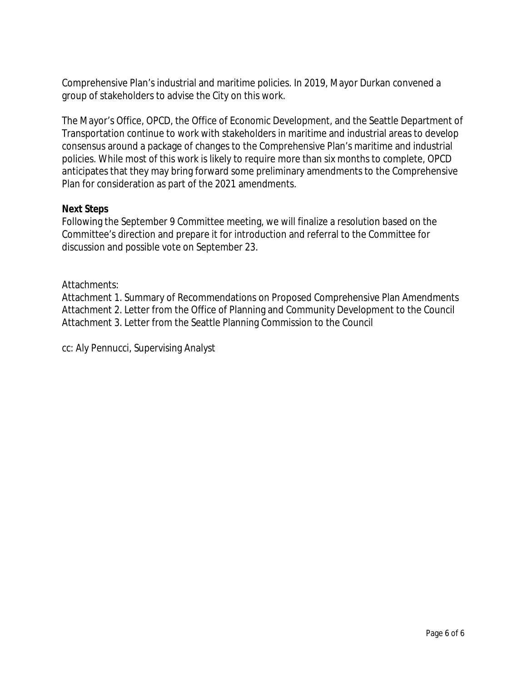Comprehensive Plan's industrial and maritime policies. In 2019, Mayor Durkan convened a group of stakeholders to advise the City on this work.

The Mayor's Office, OPCD, the Office of Economic Development, and the Seattle Department of Transportation continue to work with stakeholders in maritime and industrial areas to develop consensus around a package of changes to the Comprehensive Plan's maritime and industrial policies. While most of this work is likely to require more than six months to complete, OPCD anticipates that they may bring forward some preliminary amendments to the Comprehensive Plan for consideration as part of the 2021 amendments.

#### **Next Steps**

Following the September 9 Committee meeting, we will finalize a resolution based on the Committee's direction and prepare it for introduction and referral to the Committee for discussion and possible vote on September 23.

## Attachments:

Attachment 1. Summary of Recommendations on Proposed Comprehensive Plan Amendments Attachment 2. Letter from the Office of Planning and Community Development to the Council Attachment 3. Letter from the Seattle Planning Commission to the Council

cc: Aly Pennucci, Supervising Analyst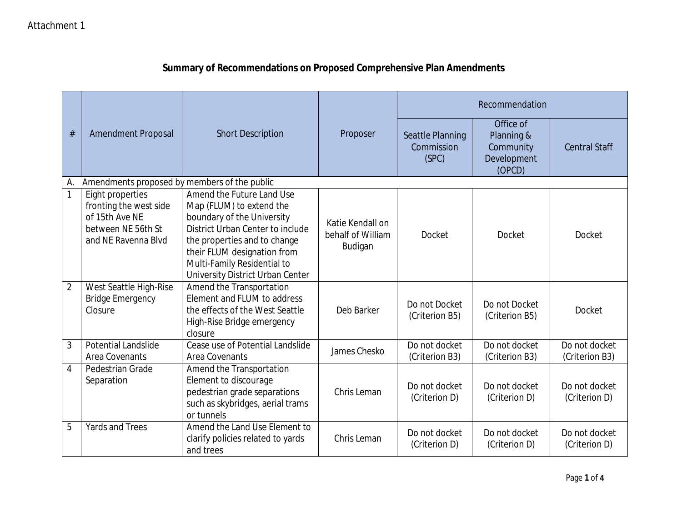|      | <b>Amendment Proposal</b>                                                                                 | <b>Short Description</b>                                                                                                                                                                                                                                  | Proposer                                         | Recommendation                          |                                                               |                                 |
|------|-----------------------------------------------------------------------------------------------------------|-----------------------------------------------------------------------------------------------------------------------------------------------------------------------------------------------------------------------------------------------------------|--------------------------------------------------|-----------------------------------------|---------------------------------------------------------------|---------------------------------|
| $\#$ |                                                                                                           |                                                                                                                                                                                                                                                           |                                                  | Seattle Planning<br>Commission<br>(SPC) | Office of<br>Planning &<br>Community<br>Development<br>(OPCD) | <b>Central Staff</b>            |
| А.   | Amendments proposed by members of the public                                                              |                                                                                                                                                                                                                                                           |                                                  |                                         |                                                               |                                 |
| 1    | Eight properties<br>fronting the west side<br>of 15th Ave NE<br>between NE 56th St<br>and NE Ravenna Blvd | Amend the Future Land Use<br>Map (FLUM) to extend the<br>boundary of the University<br>District Urban Center to include<br>the properties and to change<br>their FLUM designation from<br>Multi-Family Residential to<br>University District Urban Center | Katie Kendall on<br>behalf of William<br>Budigan | <b>Docket</b>                           | Docket                                                        | Docket                          |
| 2    | West Seattle High-Rise<br><b>Bridge Emergency</b><br>Closure                                              | Amend the Transportation<br>Element and FLUM to address<br>the effects of the West Seattle<br>High-Rise Bridge emergency<br>closure                                                                                                                       | Deb Barker                                       | Do not Docket<br>(Criterion B5)         | Do not Docket<br>(Criterion B5)                               | <b>Docket</b>                   |
| 3    | <b>Potential Landslide</b><br><b>Area Covenants</b>                                                       | Cease use of Potential Landslide<br>Area Covenants                                                                                                                                                                                                        | James Chesko                                     | Do not docket<br>(Criterion B3)         | Do not docket<br>(Criterion B3)                               | Do not docket<br>(Criterion B3) |
| 4    | Pedestrian Grade<br>Separation                                                                            | Amend the Transportation<br>Element to discourage<br>pedestrian grade separations<br>such as skybridges, aerial trams<br>or tunnels                                                                                                                       | Chris Leman                                      | Do not docket<br>(Criterion D)          | Do not docket<br>(Criterion D)                                | Do not docket<br>(Criterion D)  |
| 5    | <b>Yards and Trees</b>                                                                                    | Amend the Land Use Element to<br>clarify policies related to yards<br>and trees                                                                                                                                                                           | Chris Leman                                      | Do not docket<br>(Criterion D)          | Do not docket<br>(Criterion D)                                | Do not docket<br>(Criterion D)  |

# **Summary of Recommendations on Proposed Comprehensive Plan Amendments**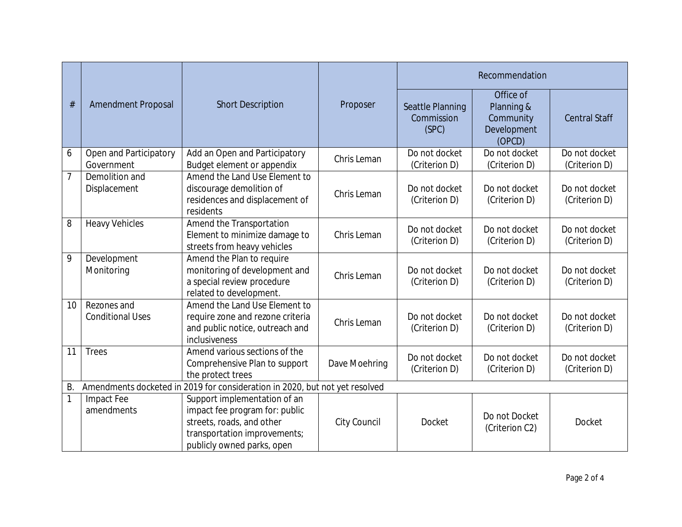|           |                                                                             |                                                                                                                                                           |               | Recommendation                          |                                                               |                                |
|-----------|-----------------------------------------------------------------------------|-----------------------------------------------------------------------------------------------------------------------------------------------------------|---------------|-----------------------------------------|---------------------------------------------------------------|--------------------------------|
| #         | <b>Amendment Proposal</b>                                                   | <b>Short Description</b>                                                                                                                                  | Proposer      | Seattle Planning<br>Commission<br>(SPC) | Office of<br>Planning &<br>Community<br>Development<br>(OPCD) | <b>Central Staff</b>           |
| 6         | Open and Participatory<br>Government                                        | Add an Open and Participatory<br>Budget element or appendix                                                                                               | Chris Leman   | Do not docket<br>(Criterion D)          | Do not docket<br>(Criterion D)                                | Do not docket<br>(Criterion D) |
| 7         | Demolition and<br>Displacement                                              | Amend the Land Use Element to<br>discourage demolition of<br>residences and displacement of<br>residents                                                  | Chris Leman   | Do not docket<br>(Criterion D)          | Do not docket<br>(Criterion D)                                | Do not docket<br>(Criterion D) |
| 8         | <b>Heavy Vehicles</b>                                                       | Amend the Transportation<br>Element to minimize damage to<br>streets from heavy vehicles                                                                  | Chris Leman   | Do not docket<br>(Criterion D)          | Do not docket<br>(Criterion D)                                | Do not docket<br>(Criterion D) |
| 9         | Development<br>Monitoring                                                   | Amend the Plan to require<br>monitoring of development and<br>a special review procedure<br>related to development.                                       | Chris Leman   | Do not docket<br>(Criterion D)          | Do not docket<br>(Criterion D)                                | Do not docket<br>(Criterion D) |
| 10        | Rezones and<br><b>Conditional Uses</b>                                      | Amend the Land Use Element to<br>require zone and rezone criteria<br>and public notice, outreach and<br>inclusiveness                                     | Chris Leman   | Do not docket<br>(Criterion D)          | Do not docket<br>(Criterion D)                                | Do not docket<br>(Criterion D) |
| 11        | <b>Trees</b>                                                                | Amend various sections of the<br>Comprehensive Plan to support<br>the protect trees                                                                       | Dave Moehring | Do not docket<br>(Criterion D)          | Do not docket<br>(Criterion D)                                | Do not docket<br>(Criterion D) |
| <b>B.</b> | Amendments docketed in 2019 for consideration in 2020, but not yet resolved |                                                                                                                                                           |               |                                         |                                                               |                                |
| 1         | Impact Fee<br>amendments                                                    | Support implementation of an<br>impact fee program for: public<br>streets, roads, and other<br>transportation improvements;<br>publicly owned parks, open | City Council  | <b>Docket</b>                           | Do not Docket<br>(Criterion C2)                               | Docket                         |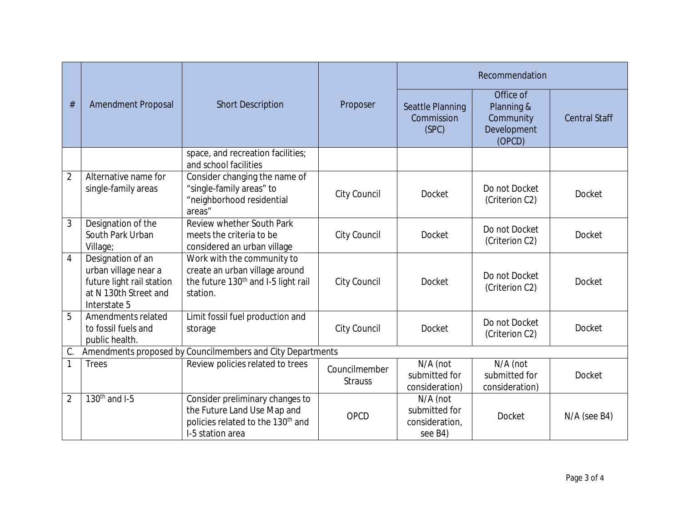|                                                                  | <b>Amendment Proposal</b>                                                                                       | <b>Short Description</b>                                                                                                            | Proposer                        | Recommendation                                         |                                                               |                      |
|------------------------------------------------------------------|-----------------------------------------------------------------------------------------------------------------|-------------------------------------------------------------------------------------------------------------------------------------|---------------------------------|--------------------------------------------------------|---------------------------------------------------------------|----------------------|
| $\#$                                                             |                                                                                                                 |                                                                                                                                     |                                 | Seattle Planning<br>Commission<br>(SPC)                | Office of<br>Planning &<br>Community<br>Development<br>(OPCD) | <b>Central Staff</b> |
|                                                                  |                                                                                                                 | space, and recreation facilities;<br>and school facilities                                                                          |                                 |                                                        |                                                               |                      |
| $\overline{2}$                                                   | Alternative name for<br>single-family areas                                                                     | Consider changing the name of<br>"single-family areas" to<br>"neighborhood residential<br>areas"                                    | City Council                    | <b>Docket</b>                                          | Do not Docket<br>(Criterion C2)                               | Docket               |
| 3                                                                | Designation of the<br>South Park Urban<br>Village;                                                              | Review whether South Park<br>meets the criteria to be<br>considered an urban village                                                | City Council                    | <b>Docket</b>                                          | Do not Docket<br>(Criterion C2)                               | Docket               |
| 4                                                                | Designation of an<br>urban village near a<br>future light rail station<br>at N 130th Street and<br>Interstate 5 | Work with the community to<br>create an urban village around<br>the future 130 <sup>th</sup> and I-5 light rail<br>station.         | City Council                    | Docket                                                 | Do not Docket<br>(Criterion C2)                               | <b>Docket</b>        |
| 5                                                                | Amendments related<br>to fossil fuels and<br>public health.                                                     | Limit fossil fuel production and<br>storage                                                                                         | City Council                    | <b>Docket</b>                                          | Do not Docket<br>(Criterion C2)                               | Docket               |
| Amendments proposed by Councilmembers and City Departments<br>C. |                                                                                                                 |                                                                                                                                     |                                 |                                                        |                                                               |                      |
|                                                                  | <b>Trees</b>                                                                                                    | Review policies related to trees                                                                                                    | Councilmember<br><b>Strauss</b> | N/A (not<br>submitted for<br>consideration)            | N/A (not<br>submitted for<br>consideration)                   | Docket               |
| $\overline{2}$                                                   | $130th$ and I-5                                                                                                 | Consider preliminary changes to<br>the Future Land Use Map and<br>policies related to the 130 <sup>th</sup> and<br>I-5 station area | OPCD                            | N/A (not<br>submitted for<br>consideration,<br>see B4) | Docket                                                        | $N/A$ (see B4)       |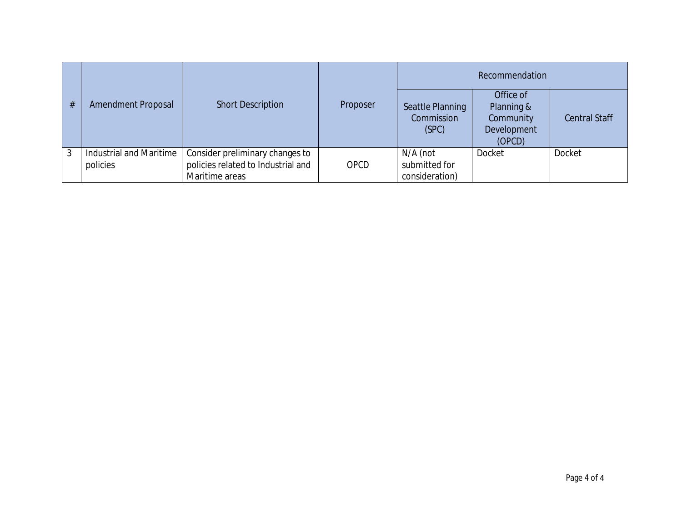| # | <b>Amendment Proposal</b>                  | <b>Short Description</b>                                                                | Proposer    | Recommendation                              |                                                               |                      |
|---|--------------------------------------------|-----------------------------------------------------------------------------------------|-------------|---------------------------------------------|---------------------------------------------------------------|----------------------|
|   |                                            |                                                                                         |             | Seattle Planning<br>Commission<br>(SPC)     | Office of<br>Planning &<br>Community<br>Development<br>(OPCD) | <b>Central Staff</b> |
| 3 | <b>Industrial and Maritime</b><br>policies | Consider preliminary changes to<br>policies related to Industrial and<br>Maritime areas | <b>OPCD</b> | N/A (not<br>submitted for<br>consideration) | <b>Docket</b>                                                 | Docket               |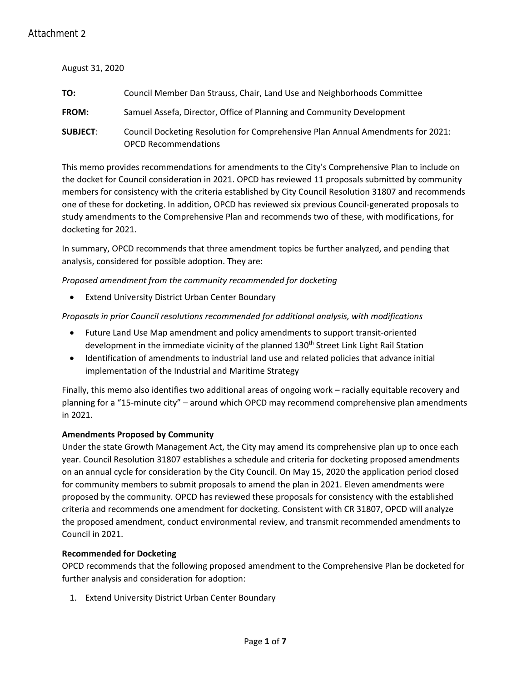#### August 31, 2020

| TO:             | Council Member Dan Strauss, Chair, Land Use and Neighborhoods Committee                                        |
|-----------------|----------------------------------------------------------------------------------------------------------------|
| <b>FROM:</b>    | Samuel Assefa, Director, Office of Planning and Community Development                                          |
| <b>SUBJECT:</b> | Council Docketing Resolution for Comprehensive Plan Annual Amendments for 2021:<br><b>OPCD Recommendations</b> |

This memo provides recommendations for amendments to the City's Comprehensive Plan to include on the docket for Council consideration in 2021. OPCD has reviewed 11 proposals submitted by community members for consistency with the criteria established by City Council Resolution 31807 and recommends one of these for docketing. In addition, OPCD has reviewed six previous Council-generated proposals to study amendments to the Comprehensive Plan and recommends two of these, with modifications, for docketing for 2021.

In summary, OPCD recommends that three amendment topics be further analyzed, and pending that analysis, considered for possible adoption. They are:

*Proposed amendment from the community recommended for docketing*

**Extend University District Urban Center Boundary** 

*Proposals in prior Council resolutions recommended for additional analysis, with modifications*

- Future Land Use Map amendment and policy amendments to support transit-oriented development in the immediate vicinity of the planned 130<sup>th</sup> Street Link Light Rail Station
- Identification of amendments to industrial land use and related policies that advance initial implementation of the Industrial and Maritime Strategy

Finally, this memo also identifies two additional areas of ongoing work – racially equitable recovery and planning for a "15-minute city" – around which OPCD may recommend comprehensive plan amendments in 2021.

#### **Amendments Proposed by Community**

Under the state Growth Management Act, the City may amend its comprehensive plan up to once each year. Council Resolution 31807 establishes a schedule and criteria for docketing proposed amendments on an annual cycle for consideration by the City Council. On May 15, 2020 the application period closed for community members to submit proposals to amend the plan in 2021. Eleven amendments were proposed by the community. OPCD has reviewed these proposals for consistency with the established criteria and recommends one amendment for docketing. Consistent with CR 31807, OPCD will analyze the proposed amendment, conduct environmental review, and transmit recommended amendments to Council in 2021.

#### **Recommended for Docketing**

OPCD recommends that the following proposed amendment to the Comprehensive Plan be docketed for further analysis and consideration for adoption:

1. Extend University District Urban Center Boundary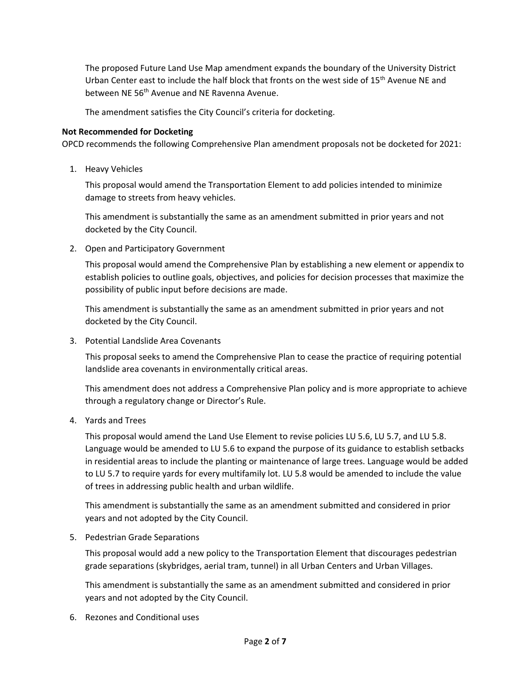The proposed Future Land Use Map amendment expands the boundary of the University District Urban Center east to include the half block that fronts on the west side of 15<sup>th</sup> Avenue NE and between NE 56<sup>th</sup> Avenue and NE Ravenna Avenue.

The amendment satisfies the City Council's criteria for docketing.

#### **Not Recommended for Docketing**

OPCD recommends the following Comprehensive Plan amendment proposals not be docketed for 2021:

1. Heavy Vehicles

This proposal would amend the Transportation Element to add policies intended to minimize damage to streets from heavy vehicles.

This amendment is substantially the same as an amendment submitted in prior years and not docketed by the City Council.

2. Open and Participatory Government

This proposal would amend the Comprehensive Plan by establishing a new element or appendix to establish policies to outline goals, objectives, and policies for decision processes that maximize the possibility of public input before decisions are made.

This amendment is substantially the same as an amendment submitted in prior years and not docketed by the City Council.

3. Potential Landslide Area Covenants

This proposal seeks to amend the Comprehensive Plan to cease the practice of requiring potential landslide area covenants in environmentally critical areas.

This amendment does not address a Comprehensive Plan policy and is more appropriate to achieve through a regulatory change or Director's Rule.

4. Yards and Trees

This proposal would amend the Land Use Element to revise policies LU 5.6, LU 5.7, and LU 5.8. Language would be amended to LU 5.6 to expand the purpose of its guidance to establish setbacks in residential areas to include the planting or maintenance of large trees. Language would be added to LU 5.7 to require yards for every multifamily lot. LU 5.8 would be amended to include the value of trees in addressing public health and urban wildlife.

This amendment is substantially the same as an amendment submitted and considered in prior years and not adopted by the City Council.

5. Pedestrian Grade Separations

This proposal would add a new policy to the Transportation Element that discourages pedestrian grade separations (skybridges, aerial tram, tunnel) in all Urban Centers and Urban Villages.

This amendment is substantially the same as an amendment submitted and considered in prior years and not adopted by the City Council.

6. Rezones and Conditional uses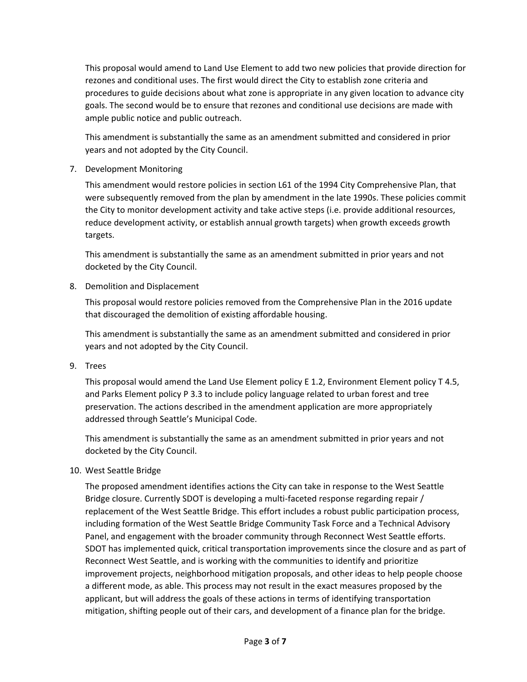This proposal would amend to Land Use Element to add two new policies that provide direction for rezones and conditional uses. The first would direct the City to establish zone criteria and procedures to guide decisions about what zone is appropriate in any given location to advance city goals. The second would be to ensure that rezones and conditional use decisions are made with ample public notice and public outreach.

This amendment is substantially the same as an amendment submitted and considered in prior years and not adopted by the City Council.

7. Development Monitoring

This amendment would restore policies in section L61 of the 1994 City Comprehensive Plan, that were subsequently removed from the plan by amendment in the late 1990s. These policies commit the City to monitor development activity and take active steps (i.e. provide additional resources, reduce development activity, or establish annual growth targets) when growth exceeds growth targets.

This amendment is substantially the same as an amendment submitted in prior years and not docketed by the City Council.

8. Demolition and Displacement

This proposal would restore policies removed from the Comprehensive Plan in the 2016 update that discouraged the demolition of existing affordable housing.

This amendment is substantially the same as an amendment submitted and considered in prior years and not adopted by the City Council.

9. Trees

This proposal would amend the Land Use Element policy E 1.2, Environment Element policy T 4.5, and Parks Element policy P 3.3 to include policy language related to urban forest and tree preservation. The actions described in the amendment application are more appropriately addressed through Seattle's Municipal Code.

This amendment is substantially the same as an amendment submitted in prior years and not docketed by the City Council.

10. West Seattle Bridge

The proposed amendment identifies actions the City can take in response to the West Seattle Bridge closure. Currently SDOT is developing a multi-faceted response regarding repair / replacement of the West Seattle Bridge. This effort includes a robust public participation process, including formation of the West Seattle Bridge Community Task Force and a Technical Advisory Panel, and engagement with the broader community through Reconnect West Seattle efforts. SDOT has implemented quick, critical transportation improvements since the closure and as part of Reconnect West Seattle, and is working with the communities to identify and prioritize improvement projects, neighborhood mitigation proposals, and other ideas to help people choose a different mode, as able. This process may not result in the exact measures proposed by the applicant, but will address the goals of these actions in terms of identifying transportation mitigation, shifting people out of their cars, and development of a finance plan for the bridge.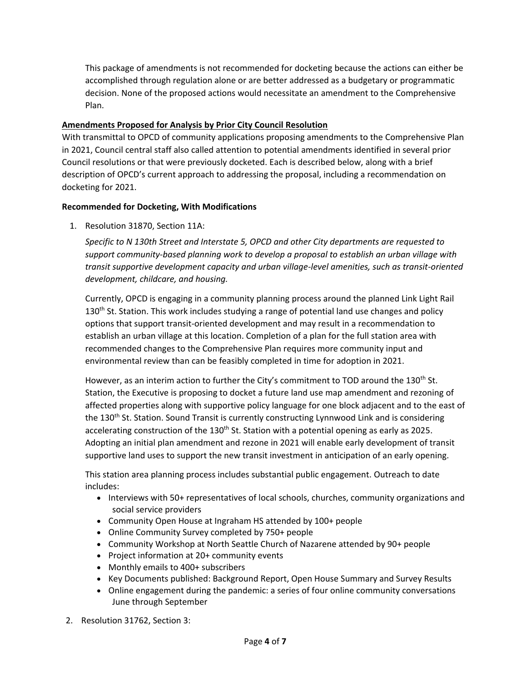This package of amendments is not recommended for docketing because the actions can either be accomplished through regulation alone or are better addressed as a budgetary or programmatic decision. None of the proposed actions would necessitate an amendment to the Comprehensive Plan.

#### **Amendments Proposed for Analysis by Prior City Council Resolution**

With transmittal to OPCD of community applications proposing amendments to the Comprehensive Plan in 2021, Council central staff also called attention to potential amendments identified in several prior Council resolutions or that were previously docketed. Each is described below, along with a brief description of OPCD's current approach to addressing the proposal, including a recommendation on docketing for 2021.

#### **Recommended for Docketing, With Modifications**

1. Resolution 31870, Section 11A:

*Specific to N 130th Street and Interstate 5, OPCD and other City departments are requested to support community-based planning work to develop a proposal to establish an urban village with transit supportive development capacity and urban village-level amenities, such as transit-oriented development, childcare, and housing.*

Currently, OPCD is engaging in a community planning process around the planned Link Light Rail  $130<sup>th</sup>$  St. Station. This work includes studying a range of potential land use changes and policy options that support transit-oriented development and may result in a recommendation to establish an urban village at this location. Completion of a plan for the full station area with recommended changes to the Comprehensive Plan requires more community input and environmental review than can be feasibly completed in time for adoption in 2021.

However, as an interim action to further the City's commitment to TOD around the 130<sup>th</sup> St. Station, the Executive is proposing to docket a future land use map amendment and rezoning of affected properties along with supportive policy language for one block adjacent and to the east of the 130<sup>th</sup> St. Station. Sound Transit is currently constructing Lynnwood Link and is considering accelerating construction of the 130<sup>th</sup> St. Station with a potential opening as early as 2025. Adopting an initial plan amendment and rezone in 2021 will enable early development of transit supportive land uses to support the new transit investment in anticipation of an early opening.

This station area planning process includes substantial public engagement. Outreach to date includes:

- Interviews with 50+ representatives of local schools, churches, community organizations and social service providers
- Community Open House at Ingraham HS attended by 100+ people
- Online Community Survey completed by 750+ people
- Community Workshop at North Seattle Church of Nazarene attended by 90+ people
- Project information at 20+ community events
- Monthly emails to 400+ subscribers
- Key Documents published: Background Report, Open House Summary and Survey Results
- Online engagement during the pandemic: a series of four online community conversations June through September
- 2. Resolution 31762, Section 3: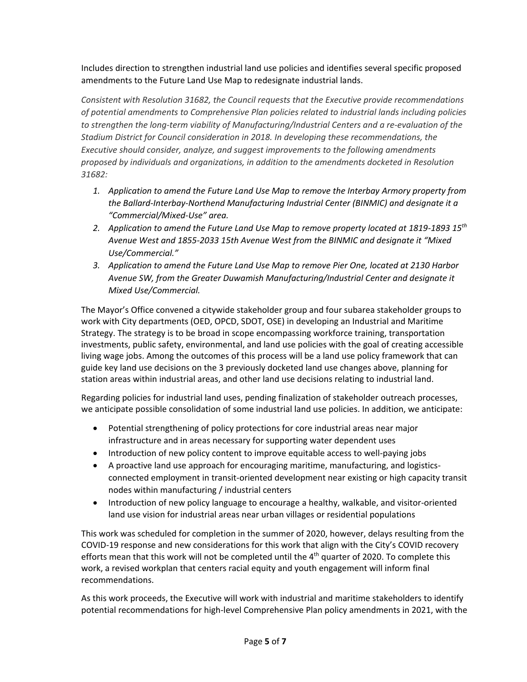Includes direction to strengthen industrial land use policies and identifies several specific proposed amendments to the Future Land Use Map to redesignate industrial lands.

*Consistent with Resolution 31682, the Council requests that the Executive provide recommendations of potential amendments to Comprehensive Plan policies related to industrial lands including policies to strengthen the long-term viability of Manufacturing/Industrial Centers and a re-evaluation of the Stadium District for Council consideration in 2018. In developing these recommendations, the Executive should consider, analyze, and suggest improvements to the following amendments proposed by individuals and organizations, in addition to the amendments docketed in Resolution 31682:*

- *1. Application to amend the Future Land Use Map to remove the Interbay Armory property from the Ballard-Interbay-Northend Manufacturing Industrial Center (BINMIC) and designate it a "Commercial/Mixed-Use" area.*
- *2. Application to amend the Future Land Use Map to remove property located at 1819-1893 15th Avenue West and 1855-2033 15th Avenue West from the BINMIC and designate it "Mixed Use/Commercial."*
- *3. Application to amend the Future Land Use Map to remove Pier One, located at 2130 Harbor Avenue SW, from the Greater Duwamish Manufacturing/Industrial Center and designate it Mixed Use/Commercial.*

The Mayor's Office convened a citywide stakeholder group and four subarea stakeholder groups to work with City departments (OED, OPCD, SDOT, OSE) in developing an Industrial and Maritime Strategy. The strategy is to be broad in scope encompassing workforce training, transportation investments, public safety, environmental, and land use policies with the goal of creating accessible living wage jobs. Among the outcomes of this process will be a land use policy framework that can guide key land use decisions on the 3 previously docketed land use changes above, planning for station areas within industrial areas, and other land use decisions relating to industrial land.

Regarding policies for industrial land uses, pending finalization of stakeholder outreach processes, we anticipate possible consolidation of some industrial land use policies. In addition, we anticipate:

- Potential strengthening of policy protections for core industrial areas near major infrastructure and in areas necessary for supporting water dependent uses
- Introduction of new policy content to improve equitable access to well-paying jobs
- A proactive land use approach for encouraging maritime, manufacturing, and logisticsconnected employment in transit-oriented development near existing or high capacity transit nodes within manufacturing / industrial centers
- Introduction of new policy language to encourage a healthy, walkable, and visitor-oriented land use vision for industrial areas near urban villages or residential populations

This work was scheduled for completion in the summer of 2020, however, delays resulting from the COVID-19 response and new considerations for this work that align with the City's COVID recovery efforts mean that this work will not be completed until the 4<sup>th</sup> quarter of 2020. To complete this work, a revised workplan that centers racial equity and youth engagement will inform final recommendations.

As this work proceeds, the Executive will work with industrial and maritime stakeholders to identify potential recommendations for high-level Comprehensive Plan policy amendments in 2021, with the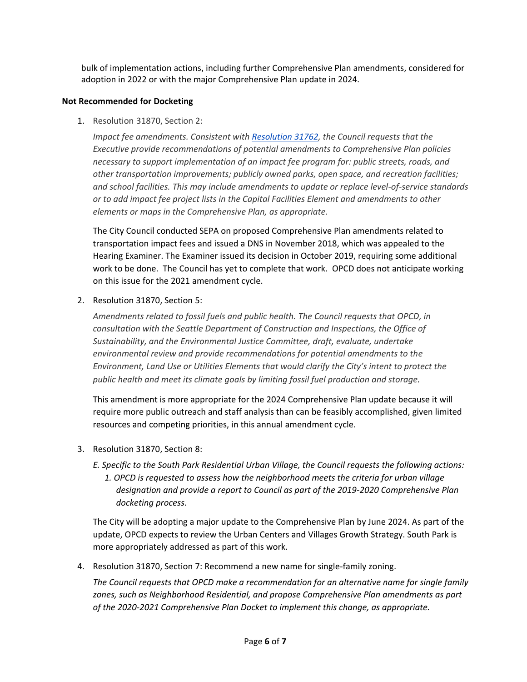bulk of implementation actions, including further Comprehensive Plan amendments, considered for adoption in 2022 or with the major Comprehensive Plan update in 2024.

#### **Not Recommended for Docketing**

1. Resolution 31870, Section 2:

*Impact fee amendments. Consistent wit[h Resolution 31762,](http://clerk.seattle.gov/search/resolutions/31762) the Council requests that the Executive provide recommendations of potential amendments to Comprehensive Plan policies necessary to support implementation of an impact fee program for: public streets, roads, and other transportation improvements; publicly owned parks, open space, and recreation facilities; and school facilities. This may include amendments to update or replace level-of-service standards or to add impact fee project lists in the Capital Facilities Element and amendments to other elements or maps in the Comprehensive Plan, as appropriate.*

The City Council conducted SEPA on proposed Comprehensive Plan amendments related to transportation impact fees and issued a DNS in November 2018, which was appealed to the Hearing Examiner. The Examiner issued its decision in October 2019, requiring some additional work to be done. The Council has yet to complete that work. OPCD does not anticipate working on this issue for the 2021 amendment cycle.

2. Resolution 31870, Section 5:

*Amendments related to fossil fuels and public health. The Council requests that OPCD, in consultation with the Seattle Department of Construction and Inspections, the Office of Sustainability, and the Environmental Justice Committee, draft, evaluate, undertake environmental review and provide recommendations for potential amendments to the Environment, Land Use or Utilities Elements that would clarify the City's intent to protect the public health and meet its climate goals by limiting fossil fuel production and storage.*

This amendment is more appropriate for the 2024 Comprehensive Plan update because it will require more public outreach and staff analysis than can be feasibly accomplished, given limited resources and competing priorities, in this annual amendment cycle.

- 3. Resolution 31870, Section 8:
	- *E. Specific to the South Park Residential Urban Village, the Council requests the following actions: 1. OPCD is requested to assess how the neighborhood meets the criteria for urban village designation and provide a report to Council as part of the 2019-2020 Comprehensive Plan docketing process.*

The City will be adopting a major update to the Comprehensive Plan by June 2024. As part of the update, OPCD expects to review the Urban Centers and Villages Growth Strategy. South Park is more appropriately addressed as part of this work.

4. Resolution 31870, Section 7: Recommend a new name for single-family zoning.

*The Council requests that OPCD make a recommendation for an alternative name for single family zones, such as Neighborhood Residential, and propose Comprehensive Plan amendments as part of the 2020-2021 Comprehensive Plan Docket to implement this change, as appropriate.*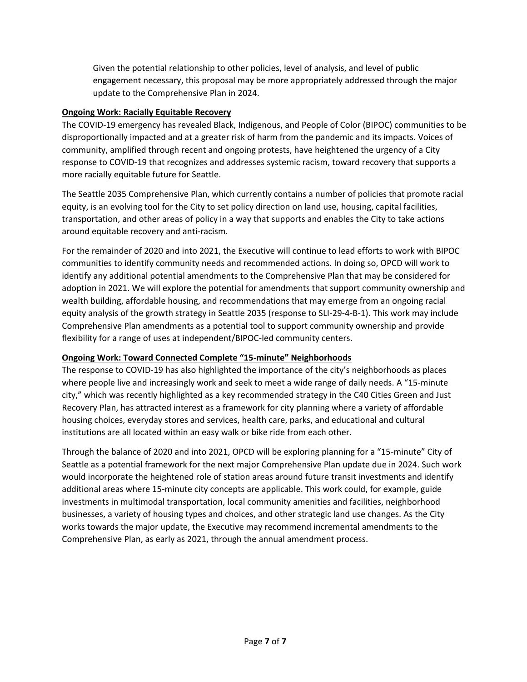Given the potential relationship to other policies, level of analysis, and level of public engagement necessary, this proposal may be more appropriately addressed through the major update to the Comprehensive Plan in 2024.

#### **Ongoing Work: Racially Equitable Recovery**

The COVID-19 emergency has revealed Black, Indigenous, and People of Color (BIPOC) communities to be disproportionally impacted and at a greater risk of harm from the pandemic and its impacts. Voices of community, amplified through recent and ongoing protests, have heightened the urgency of a City response to COVID-19 that recognizes and addresses systemic racism, toward recovery that supports a more racially equitable future for Seattle.

The Seattle 2035 Comprehensive Plan, which currently contains a number of policies that promote racial equity, is an evolving tool for the City to set policy direction on land use, housing, capital facilities, transportation, and other areas of policy in a way that supports and enables the City to take actions around equitable recovery and anti-racism.

For the remainder of 2020 and into 2021, the Executive will continue to lead efforts to work with BIPOC communities to identify community needs and recommended actions. In doing so, OPCD will work to identify any additional potential amendments to the Comprehensive Plan that may be considered for adoption in 2021. We will explore the potential for amendments that support community ownership and wealth building, affordable housing, and recommendations that may emerge from an ongoing racial equity analysis of the growth strategy in Seattle 2035 (response to SLI-29-4-B-1). This work may include Comprehensive Plan amendments as a potential tool to support community ownership and provide flexibility for a range of uses at independent/BIPOC-led community centers.

#### **Ongoing Work: Toward Connected Complete "15-minute" Neighborhoods**

The response to COVID-19 has also highlighted the importance of the city's neighborhoods as places where people live and increasingly work and seek to meet a wide range of daily needs. A "15-minute city," which was recently highlighted as a key recommended strategy in the C40 Cities Green and Just Recovery Plan, has attracted interest as a framework for city planning where a variety of affordable housing choices, everyday stores and services, health care, parks, and educational and cultural institutions are all located within an easy walk or bike ride from each other.

Through the balance of 2020 and into 2021, OPCD will be exploring planning for a "15-minute" City of Seattle as a potential framework for the next major Comprehensive Plan update due in 2024. Such work would incorporate the heightened role of station areas around future transit investments and identify additional areas where 15-minute city concepts are applicable. This work could, for example, guide investments in multimodal transportation, local community amenities and facilities, neighborhood businesses, a variety of housing types and choices, and other strategic land use changes. As the City works towards the major update, the Executive may recommend incremental amendments to the Comprehensive Plan, as early as 2021, through the annual amendment process.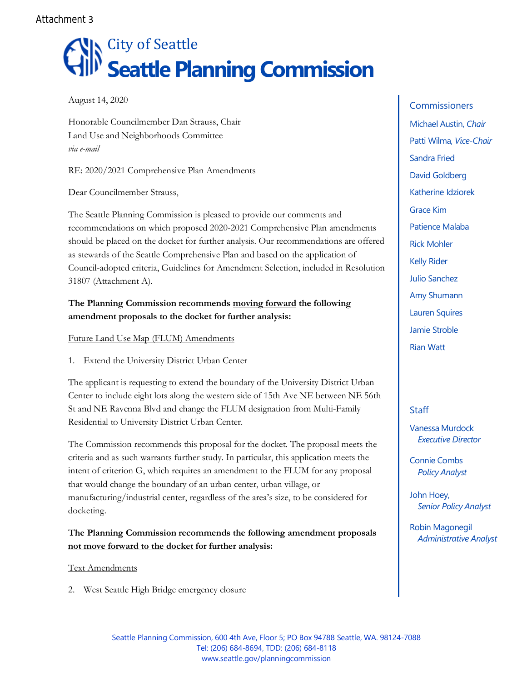Attachment 3

# **N** City of Seattle **Seattle Planning Commission**

August 14, 2020

Honorable Councilmember Dan Strauss, Chair Land Use and Neighborhoods Committee *via e-mail*

RE: 2020/2021 Comprehensive Plan Amendments

Dear Councilmember Strauss,

The Seattle Planning Commission is pleased to provide our comments and recommendations on which proposed 2020-2021 Comprehensive Plan amendments should be placed on the docket for further analysis. Our recommendations are offered as stewards of the Seattle Comprehensive Plan and based on the application of Council-adopted criteria, Guidelines for Amendment Selection, included in Resolution 31807 (Attachment A).

#### **The Planning Commission recommends moving forward the following amendment proposals to the docket for further analysis:**

Future Land Use Map (FLUM) Amendments

1. Extend the University District Urban Center

The applicant is requesting to extend the boundary of the University District Urban Center to include eight lots along the western side of 15th Ave NE between NE 56th St and NE Ravenna Blvd and change the FLUM designation from Multi-Family Residential to University District Urban Center.

The Commission recommends this proposal for the docket. The proposal meets the criteria and as such warrants further study. In particular, this application meets the intent of criterion G, which requires an amendment to the FLUM for any proposal that would change the boundary of an urban center, urban village, or manufacturing/industrial center, regardless of the area's size, to be considered for docketing.

## **The Planning Commission recommends the following amendment proposals not move forward to the docket for further analysis:**

Text Amendments

2. West Seattle High Bridge emergency closure

**Commissioners** Michael Austin, *Chair* Patti Wilma, *Vice-Chair* Sandra Fried David Goldberg Katherine Idziorek Grace Kim Patience Malaba Rick Mohler Kelly Rider Julio Sanchez Amy Shumann Lauren Squires Jamie Stroble Rian Watt

## **Staff**

Vanessa Murdock *Executive Director*

Connie Combs *Policy Analyst*

John Hoey, *Senior Policy Analyst*

Robin Magonegil *Administrative Analyst*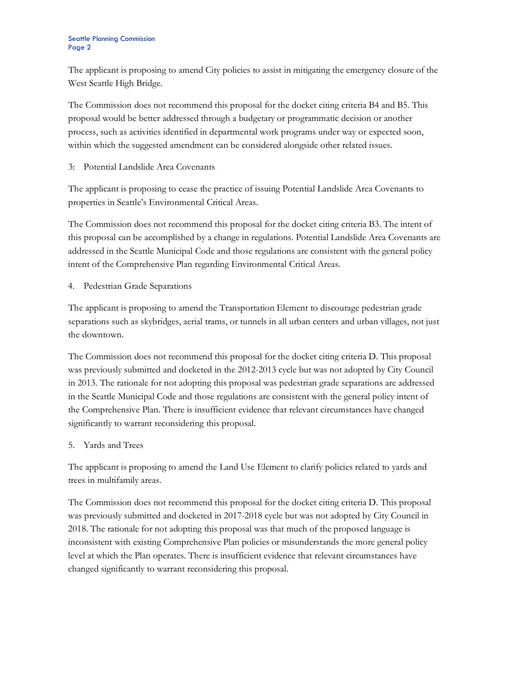#### Seattle Planning Commission Page 2

The applicant is proposing to amend City policies to assist in mitigating the emergency closure of the West Seattle High Bridge.

The Commission does not recommend this proposal for the docket citing criteria B4 and B5. This proposal would be better addressed through a budgetary or programmatic decision or another process, such as activities identified in departmental work programs under way or expected soon, within which the suggested amendment can be considered alongside other related issues.

3: Potential Landslide Area Covenants

The applicant is proposing to cease the practice of issuing Potential Landslide Area Covenants to properties in Seattle's Environmental Critical Areas.

The Commission does not recommend this proposal for the docket citing criteria B3. The intent of this proposal can be accomplished by a change in regulations. Potential Landslide Area Covenants are addressed in the Seattle Municipal Code and those regulations are consistent with the general policy intent of the Comprehensive Plan regarding Environmental Critical Areas.

4. Pedestrian Grade Separations

The applicant is proposing to amend the Transportation Element to discourage pedestrian grade separations such as skybridges, aerial trams, or tunnels in all urban centers and urban villages, not just the downtown.

The Commission does not recommend this proposal for the docket citing criteria D. This proposal was previously submitted and docketed in the 2012-2013 cycle but was not adopted by City Council in 2013. The rationale for not adopting this proposal was pedestrian grade separations are addressed in the Seattle Municipal Code and those regulations are consistent with the general policy intent of the Comprehensive Plan. There is insufficient evidence that relevant circumstances have changed significantly to warrant reconsidering this proposal.

5. Yards and Trees

The applicant is proposing to amend the Land Use Element to clarify policies related to yards and trees in multifamily areas.

The Commission does not recommend this proposal for the docket citing criteria D. This proposal was previously submitted and docketed in 2017-2018 cycle but was not adopted by City Council in 2018. The rationale for not adopting this proposal was that much of the proposed language is inconsistent with existing Comprehensive Plan policies or misunderstands the more general policy level at which the Plan operates. There is insufficient evidence that relevant circumstances have changed significantly to warrant reconsidering this proposal.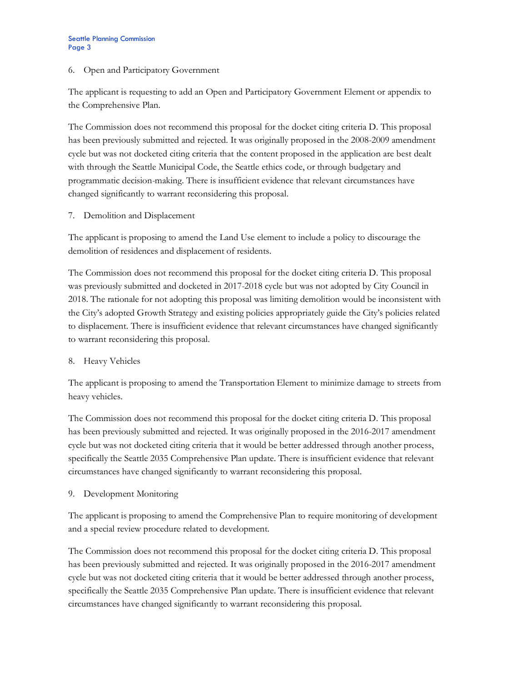#### 6. Open and Participatory Government

The applicant is requesting to add an Open and Participatory Government Element or appendix to the Comprehensive Plan.

The Commission does not recommend this proposal for the docket citing criteria D. This proposal has been previously submitted and rejected. It was originally proposed in the 2008-2009 amendment cycle but was not docketed citing criteria that the content proposed in the application are best dealt with through the Seattle Municipal Code, the Seattle ethics code, or through budgetary and programmatic decision-making. There is insufficient evidence that relevant circumstances have changed significantly to warrant reconsidering this proposal.

7. Demolition and Displacement

The applicant is proposing to amend the Land Use element to include a policy to discourage the demolition of residences and displacement of residents.

The Commission does not recommend this proposal for the docket citing criteria D. This proposal was previously submitted and docketed in 2017-2018 cycle but was not adopted by City Council in 2018. The rationale for not adopting this proposal was limiting demolition would be inconsistent with the City's adopted Growth Strategy and existing policies appropriately guide the City's policies related to displacement. There is insufficient evidence that relevant circumstances have changed significantly to warrant reconsidering this proposal.

8. Heavy Vehicles

The applicant is proposing to amend the Transportation Element to minimize damage to streets from heavy vehicles.

The Commission does not recommend this proposal for the docket citing criteria D. This proposal has been previously submitted and rejected. It was originally proposed in the 2016-2017 amendment cycle but was not docketed citing criteria that it would be better addressed through another process, specifically the Seattle 2035 Comprehensive Plan update. There is insufficient evidence that relevant circumstances have changed significantly to warrant reconsidering this proposal.

9. Development Monitoring

The applicant is proposing to amend the Comprehensive Plan to require monitoring of development and a special review procedure related to development.

The Commission does not recommend this proposal for the docket citing criteria D. This proposal has been previously submitted and rejected. It was originally proposed in the 2016-2017 amendment cycle but was not docketed citing criteria that it would be better addressed through another process, specifically the Seattle 2035 Comprehensive Plan update. There is insufficient evidence that relevant circumstances have changed significantly to warrant reconsidering this proposal.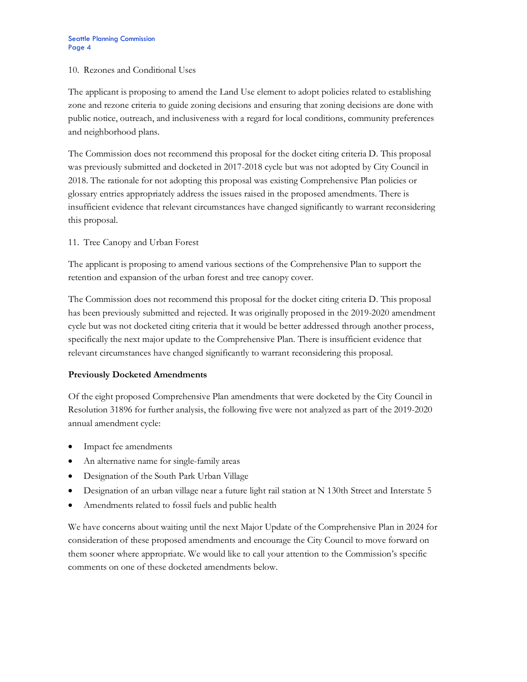#### 10. Rezones and Conditional Uses

The applicant is proposing to amend the Land Use element to adopt policies related to establishing zone and rezone criteria to guide zoning decisions and ensuring that zoning decisions are done with public notice, outreach, and inclusiveness with a regard for local conditions, community preferences and neighborhood plans.

The Commission does not recommend this proposal for the docket citing criteria D. This proposal was previously submitted and docketed in 2017-2018 cycle but was not adopted by City Council in 2018. The rationale for not adopting this proposal was existing Comprehensive Plan policies or glossary entries appropriately address the issues raised in the proposed amendments. There is insufficient evidence that relevant circumstances have changed significantly to warrant reconsidering this proposal.

11. Tree Canopy and Urban Forest

The applicant is proposing to amend various sections of the Comprehensive Plan to support the retention and expansion of the urban forest and tree canopy cover.

The Commission does not recommend this proposal for the docket citing criteria D. This proposal has been previously submitted and rejected. It was originally proposed in the 2019-2020 amendment cycle but was not docketed citing criteria that it would be better addressed through another process, specifically the next major update to the Comprehensive Plan. There is insufficient evidence that relevant circumstances have changed significantly to warrant reconsidering this proposal.

#### **Previously Docketed Amendments**

Of the eight proposed Comprehensive Plan amendments that were docketed by the City Council in Resolution 31896 for further analysis, the following five were not analyzed as part of the 2019-2020 annual amendment cycle:

- Impact fee amendments
- An alternative name for single-family areas
- Designation of the South Park Urban Village
- Designation of an urban village near a future light rail station at N 130th Street and Interstate 5
- Amendments related to fossil fuels and public health

We have concerns about waiting until the next Major Update of the Comprehensive Plan in 2024 for consideration of these proposed amendments and encourage the City Council to move forward on them sooner where appropriate. We would like to call your attention to the Commission's specific comments on one of these docketed amendments below.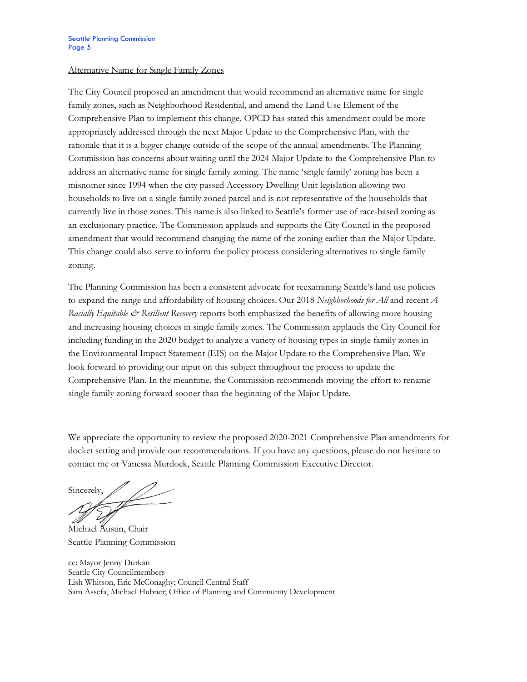#### Alternative Name for Single Family Zones

The City Council proposed an amendment that would recommend an alternative name for single family zones, such as Neighborhood Residential, and amend the Land Use Element of the Comprehensive Plan to implement this change. OPCD has stated this amendment could be more appropriately addressed through the next Major Update to the Comprehensive Plan, with the rationale that it is a bigger change outside of the scope of the annual amendments. The Planning Commission has concerns about waiting until the 2024 Major Update to the Comprehensive Plan to address an alternative name for single family zoning. The name 'single family' zoning has been a misnomer since 1994 when the city passed Accessory Dwelling Unit legislation allowing two households to live on a single family zoned parcel and is not representative of the households that currently live in those zones. This name is also linked to Seattle's former use of race-based zoning as an exclusionary practice. The Commission applauds and supports the City Council in the proposed amendment that would recommend changing the name of the zoning earlier than the Major Update. This change could also serve to inform the policy process considering alternatives to single family zoning.

The Planning Commission has been a consistent advocate for reexamining Seattle's land use policies to expand the range and affordability of housing choices. Our 2018 *Neighborhoods for All* and recent *A Racially Equitable*  $\ddot{\mathcal{O}}$  *Resilient Recovery* reports both emphasized the benefits of allowing more housing and increasing housing choices in single family zones. The Commission applauds the City Council for including funding in the 2020 budget to analyze a variety of housing types in single family zones in the Environmental Impact Statement (EIS) on the Major Update to the Comprehensive Plan. We look forward to providing our input on this subject throughout the process to update the Comprehensive Plan. In the meantime, the Commission recommends moving the effort to rename single family zoning forward sooner than the beginning of the Major Update.

We appreciate the opportunity to review the proposed 2020-2021 Comprehensive Plan amendments for docket setting and provide our recommendations. If you have any questions, please do not hesitate to contact me or Vanessa Murdock, Seattle Planning Commission Executive Director.

Sincerely,

Michael Austin, Chair Seattle Planning Commission

cc: Mayor Jenny Durkan Seattle City Councilmembers Lish Whitson, Eric McConaghy; Council Central Staff Sam Assefa, Michael Hubner; Office of Planning and Community Development